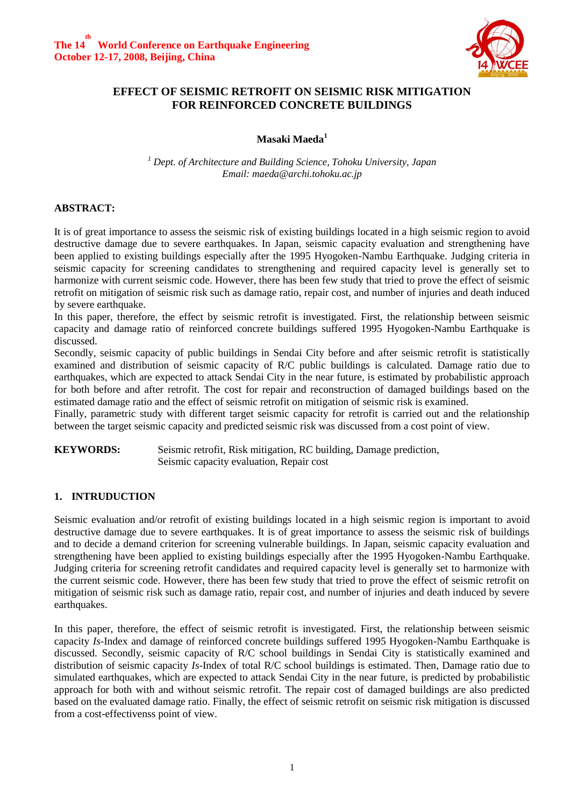

## **EFFECT OF SEISMIC RETROFIT ON SEISMIC RISK MITIGATION FOR REINFORCED CONCRETE BUILDINGS**

**Masaki Maeda<sup>1</sup>**

*<sup>1</sup> Dept. of Architecture and Building Science, Tohoku University, Japan Email: maeda@archi.tohoku.ac.jp*

## **ABSTRACT:**

It is of great importance to assess the seismic risk of existing buildings located in a high seismic region to avoid destructive damage due to severe earthquakes. In Japan, seismic capacity evaluation and strengthening have been applied to existing buildings especially after the 1995 Hyogoken-Nambu Earthquake. Judging criteria in seismic capacity for screening candidates to strengthening and required capacity level is generally set to harmonize with current seismic code. However, there has been few study that tried to prove the effect of seismic retrofit on mitigation of seismic risk such as damage ratio, repair cost, and number of injuries and death induced by severe earthquake.

In this paper, therefore, the effect by seismic retrofit is investigated. First, the relationship between seismic capacity and damage ratio of reinforced concrete buildings suffered 1995 Hyogoken-Nambu Earthquake is discussed.

Secondly, seismic capacity of public buildings in Sendai City before and after seismic retrofit is statistically examined and distribution of seismic capacity of R/C public buildings is calculated. Damage ratio due to earthquakes, which are expected to attack Sendai City in the near future, is estimated by probabilistic approach for both before and after retrofit. The cost for repair and reconstruction of damaged buildings based on the estimated damage ratio and the effect of seismic retrofit on mitigation of seismic risk is examined.

Finally, parametric study with different target seismic capacity for retrofit is carried out and the relationship between the target seismic capacity and predicted seismic risk was discussed from a cost point of view.

**KEYWORDS:** Seismic retrofit, Risk mitigation, RC building, Damage prediction, Seismic capacity evaluation, Repair cost

## **1. INTRUDUCTION**

Seismic evaluation and/or retrofit of existing buildings located in a high seismic region is important to avoid destructive damage due to severe earthquakes. It is of great importance to assess the seismic risk of buildings and to decide a demand criterion for screening vulnerable buildings. In Japan, seismic capacity evaluation and strengthening have been applied to existing buildings especially after the 1995 Hyogoken-Nambu Earthquake. Judging criteria for screening retrofit candidates and required capacity level is generally set to harmonize with the current seismic code. However, there has been few study that tried to prove the effect of seismic retrofit on mitigation of seismic risk such as damage ratio, repair cost, and number of injuries and death induced by severe earthquakes.

In this paper, therefore, the effect of seismic retrofit is investigated. First, the relationship between seismic capacity *Is*-Index and damage of reinforced concrete buildings suffered 1995 Hyogoken-Nambu Earthquake is discussed. Secondly, seismic capacity of R/C school buildings in Sendai City is statistically examined and distribution of seismic capacity *Is*-Index of total R/C school buildings is estimated. Then, Damage ratio due to simulated earthquakes, which are expected to attack Sendai City in the near future, is predicted by probabilistic approach for both with and without seismic retrofit. The repair cost of damaged buildings are also predicted based on the evaluated damage ratio. Finally, the effect of seismic retrofit on seismic risk mitigation is discussed from a cost-effectivenss point of view.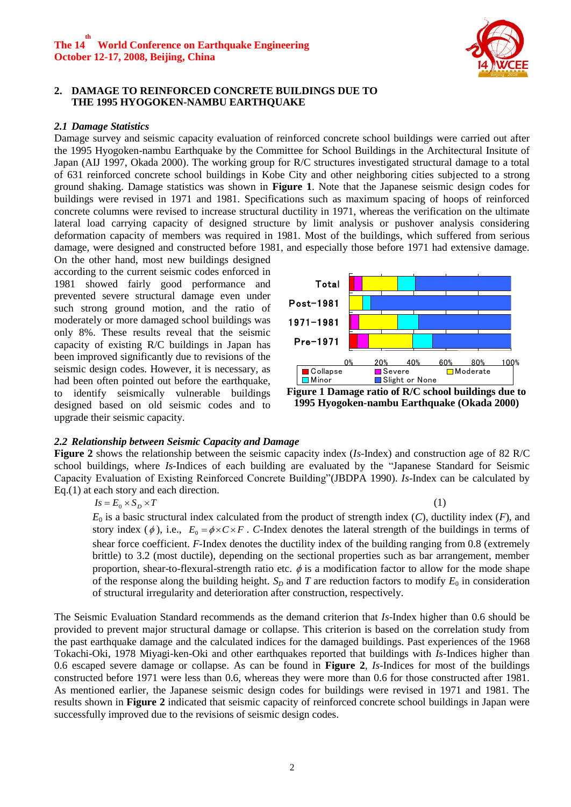

#### **2. DAMAGE TO REINFORCED CONCRETE BUILDINGS DUE TO THE 1995 HYOGOKEN-NAMBU EARTHQUAKE**

#### *2.1 Damage Statistics*

Damage survey and seismic capacity evaluation of reinforced concrete school buildings were carried out after the 1995 Hyogoken-nambu Earthquake by the Committee for School Buildings in the Architectural Insitute of Japan (AIJ 1997, Okada 2000). The working group for R/C structures investigated structural damage to a total of 631 reinforced concrete school buildings in Kobe City and other neighboring cities subjected to a strong ground shaking. Damage statistics was shown in **Figure 1**. Note that the Japanese seismic design codes for buildings were revised in 1971 and 1981. Specifications such as maximum spacing of hoops of reinforced concrete columns were revised to increase structural ductility in 1971, whereas the verification on the ultimate lateral load carrying capacity of designed structure by limit analysis or pushover analysis considering deformation capacity of members was required in 1981. Most of the buildings, which suffered from serious damage, were designed and constructed before 1981, and especially those before 1971 had extensive damage.

On the other hand, most new buildings designed according to the current seismic codes enforced in 1981 showed fairly good performance and prevented severe structural damage even under such strong ground motion, and the ratio of moderately or more damaged school buildings was only 8%. These results reveal that the seismic capacity of existing R/C buildings in Japan has been improved significantly due to revisions of the seismic design codes. However, it is necessary, as had been often pointed out before the earthquake, to identify seismically vulnerable buildings designed based on old seismic codes and to upgrade their seismic capacity.



**1995 Hyogoken-nambu Earthquake (Okada 2000)**

(1)

#### *2.2 Relationship between Seismic Capacity and Damage*

**Figure 2** shows the relationship between the seismic capacity index (*Is*-Index) and construction age of 82 R/C school buildings, where *Is*-Indices of each building are evaluated by the "Japanese Standard for Seismic Capacity Evaluation of Existing Reinforced Concrete Building"(JBDPA 1990). *Is*-Index can be calculated by Eq.(1) at each story and each direction.

 $I_s = E_0 \times S_D \times T$ 

*E*<sup>0</sup> is a basic structural index calculated from the product of strength index (*C*), ductility index (*F*), and story index ( $\phi$ ), i.e.,  $E_0 = \phi \times C \times F$ . *C*-Index denotes the lateral strength of the buildings in terms of shear force coefficient. *F*-Index denotes the ductility index of the building ranging from 0.8 (extremely brittle) to 3.2 (most ductile), depending on the sectional properties such as bar arrangement, member proportion, shear-to-flexural-strength ratio etc.  $\phi$  is a modification factor to allow for the mode shape of the response along the building height.  $S_D$  and *T* are reduction factors to modify  $E_0$  in consideration of structural irregularity and deterioration after construction, respectively.

The Seismic Evaluation Standard recommends as the demand criterion that *Is*-Index higher than 0.6 should be provided to prevent major structural damage or collapse. This criterion is based on the correlation study from the past earthquake damage and the calculated indices for the damaged buildings. Past experiences of the 1968 Tokachi-Oki, 1978 Miyagi-ken-Oki and other earthquakes reported that buildings with *Is-*Indices higher than 0.6 escaped severe damage or collapse. As can be found in **Figure 2**, *Is*-Indices for most of the buildings constructed before 1971 were less than 0.6, whereas they were more than 0.6 for those constructed after 1981. As mentioned earlier, the Japanese seismic design codes for buildings were revised in 1971 and 1981. The results shown in **Figure 2** indicated that seismic capacity of reinforced concrete school buildings in Japan were successfully improved due to the revisions of seismic design codes.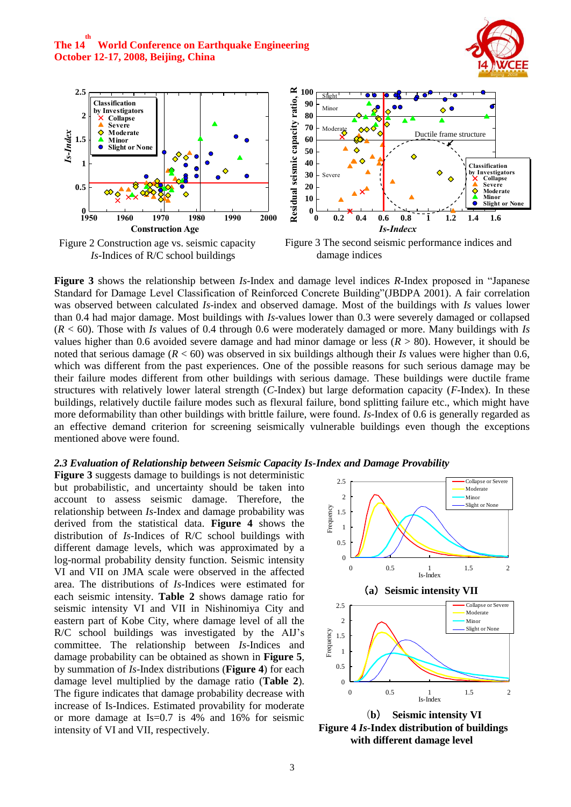



Figure 2 Construction age vs. seismic capacity *Is*-Indices of R/C school buildings



Figure 3 The second seismic performance indices and damage indices

**Figure 3** shows the relationship between *Is*-Index and damage level indices *R*-Index proposed in "Japanese Standard for Damage Level Classification of Reinforced Concrete Building"(JBDPA 2001). A fair correlation was observed between calculated *Is*-index and observed damage. Most of the buildings with *Is* values lower than 0.4 had major damage. Most buildings with *Is*-values lower than 0.3 were severely damaged or collapsed (*R* < 60). Those with *Is* values of 0.4 through 0.6 were moderately damaged or more. Many buildings with *Is* values higher than 0.6 avoided severe damage and had minor damage or less (*R* > 80). However, it should be noted that serious damage (*R* < 60) was observed in six buildings although their *Is* values were higher than 0.6, which was different from the past experiences. One of the possible reasons for such serious damage may be their failure modes different from other buildings with serious damage. These buildings were ductile frame structures with relatively lower lateral strength (*C*-Index) but large deformation capacity (*F*-Index). In these buildings, relatively ductile failure modes such as flexural failure, bond splitting failure etc., which might have more deformability than other buildings with brittle failure, were found. *Is*-Index of 0.6 is generally regarded as an effective demand criterion for screening seismically vulnerable buildings even though the exceptions mentioned above were found.

#### *2.3 Evaluation of Relationship between Seismic Capacity Is-Index and Damage Provability*

**Figure 3** suggests damage to buildings is not deterministic but probabilistic, and uncertainty should be taken into account to assess seismic damage. Therefore, the relationship between *Is*-Index and damage probability was derived from the statistical data. **Figure 4** shows the distribution of *Is*-Indices of R/C school buildings with different damage levels, which was approximated by a log-normal probability density function. Seismic intensity VI and VII on JMA scale were observed in the affected area. The distributions of *Is*-Indices were estimated for each seismic intensity. **Table 2** shows damage ratio for seismic intensity VI and VII in Nishinomiya City and eastern part of Kobe City, where damage level of all the R/C school buildings was investigated by the AIJ's committee. The relationship between *Is*-Indices and damage probability can be obtained as shown in **Figure 5**, by summation of *Is*-Index distributions (**Figure 4**) for each damage level multiplied by the damage ratio (**Table 2**). The figure indicates that damage probability decrease with increase of Is-Indices. Estimated provability for moderate or more damage at Is=0.7 is 4% and 16% for seismic intensity of VI and VII, respectively.



(**b**) **Seismic intensity VI Figure 4** *Is***-Index distribution of buildings with different damage level**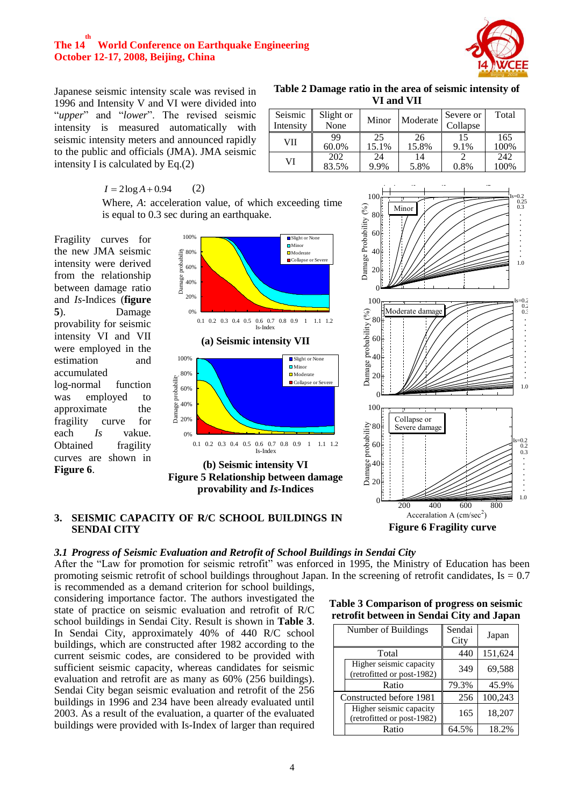

Japanese seismic intensity scale was revised in 1996 and Intensity V and VI were divided into "*upper*" and "*lower*". The revised seismic intensity is measured automatically with seismic intensity meters and announced rapidly to the public and officials (JMA). JMA seismic intensity I is calculated by Eq.(2)

| Table 2 Damage ratio in the area of seismic intensity of |
|----------------------------------------------------------|
| VI and VII                                               |

| Seismic<br>Intensity | Slight or<br>None | Minor       | Moderate    | Severe or<br>Collapse | Total       |
|----------------------|-------------------|-------------|-------------|-----------------------|-------------|
| VII                  | 99<br>60.0%       | 25<br>15.1% | 26<br>15.8% | 15<br>9.1%            | 165<br>100% |
| VI                   | 202<br>83.5%      | 24<br>9.9%  | 14<br>5.8%  | 0.8%                  | 242<br>100% |

 $I = 2log A + 0.94$ (2)

Where, *A*: acceleration value, of which exceeding time is equal to 0.3 sec during an earthquake.

Fragility curves for the new JMA seismic intensity were derived from the relationship between damage ratio and *Is*-Indices (**figure 5**). Damage provability for seismic intensity VI and VII were employed in the estimation and accumulated log-normal function was employed to approximate the fragility curve for each *Is* vakue. Obtained fragility curves are shown in **Figure 6**.





#### **3. SEISMIC CAPACITY OF R/C SCHOOL BUILDINGS IN SENDAI CITY**

### *3.1 Progress of Seismic Evaluation and Retrofit of School Buildings in Sendai City*

After the "Law for promotion for seismic retrofit" was enforced in 1995, the Ministry of Education has been promoting seismic retrofit of school buildings throughout Japan. In the screening of retrofit candidates,  $Is = 0.7$ 

is recommended as a demand criterion for school buildings, considering importance factor. The authors investigated the state of practice on seismic evaluation and retrofit of R/C school buildings in Sendai City. Result is shown in **Table 3**. In Sendai City, approximately 40% of 440 R/C school buildings, which are constructed after 1982 according to the current seismic codes, are considered to be provided with sufficient seismic capacity, whereas candidates for seismic evaluation and retrofit are as many as 60% (256 buildings). Sendai City began seismic evaluation and retrofit of the 256 buildings in 1996 and 234 have been already evaluated until 2003. As a result of the evaluation, a quarter of the evaluated buildings were provided with Is-Index of larger than required

**Table 3 Comparison of progress on seismic retrofit between in Sendai City and Japan**

| Number of Buildings |                                                       | Sendai<br>City | Japan   |
|---------------------|-------------------------------------------------------|----------------|---------|
|                     | Total                                                 | 440            | 151,624 |
|                     | Higher seismic capacity<br>(retrofitted or post-1982) | 349            | 69,588  |
|                     | Ratio                                                 | 79.3%          | 45.9%   |
|                     | Constructed before 1981                               | 256            | 100,243 |
|                     | Higher seismic capacity<br>(retrofitted or post-1982) | 165            | 18,207  |
|                     | Ratio                                                 | 64.5%          | 18.2%   |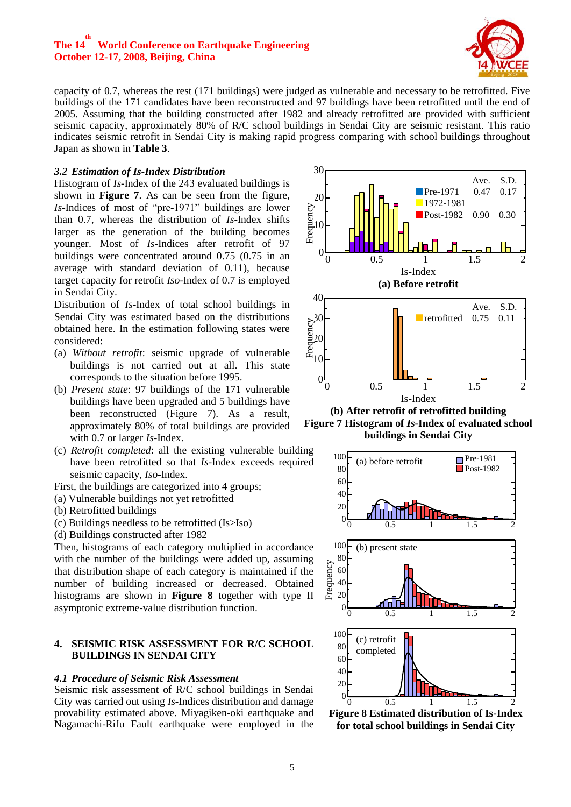

capacity of 0.7, whereas the rest (171 buildings) were judged as vulnerable and necessary to be retrofitted. Five buildings of the 171 candidates have been reconstructed and 97 buildings have been retrofitted until the end of 2005. Assuming that the building constructed after 1982 and already retrofitted are provided with sufficient seismic capacity, approximately 80% of R/C school buildings in Sendai City are seismic resistant. This ratio indicates seismic retrofit in Sendai City is making rapid progress comparing with school buildings throughout Japan as shown in **Table 3**.

### *3.2 Estimation of Is-Index Distribution*

Histogram of *Is*-Index of the 243 evaluated buildings is shown in **Figure 7**. As can be seen from the figure, Is-Indices of most of "pre-1971" buildings are lower than 0.7, whereas the distribution of *Is*-Index shifts larger as the generation of the building becomes younger. Most of *Is*-Indices after retrofit of 97 buildings were concentrated around 0.75 (0.75 in an average with standard deviation of 0.11), because target capacity for retrofit *Iso*-Index of 0.7 is employed in Sendai City. 数

Distribution of *Is*-Index of total school buildings in Sendai City was estimated based on the distributions obtained here. In the estimation following states were considered:

- (a) *Without retrofit*: seismic upgrade of vulnerable buildings is not carried out at all. This state corresponds to the situation before 1995.
- (b) *Present state*: 97 buildings of the 171 vulnerable buildings have been upgraded and 5 buildings have been reconstructed (Figure 7). As a result, approximately 80% of total buildings are provided with 0.7 or larger *Is*-Index.
- (c) *Retrofit completed*: all the existing vulnerable building have been retrofitted so that *Is*-Index exceeds required seismic capacity, *Iso*-Index.
- First, the buildings are categorized into 4 groups;
- (a) Vulnerable buildings not yet retrofitted
- (b) Retrofitted buildings
- (c) Buildings needless to be retrofitted (Is>Iso)
- (d) Buildings constructed after 1982

Then, histograms of each category multiplied in accordance with the number of the buildings were added up, assuming that distribution shape of each category is maintained if the number of building increased or decreased. Obtained histograms are shown in **Figure 8** together with type II asymptonic extreme-value distribution function.

#### **4. SEISMIC RISK ASSESSMENT FOR R/C SCHOOL BUILDINGS IN SENDAI CITY**

#### *4.1 Procedure of Seismic Risk Assessment*

Seismic risk assessment of R/C school buildings in Sendai City was carried out using *Is*-Indices distribution and damage provability estimated above. Miyagiken-oki earthquake and Nagamachi-Rifu Fault earthquake were employed in the





**(b) After retrofit of retrofitted building Figure 7 Histogram of** *Is***-Index of evaluated school buildings in Sendai City**



**Figure 8 Estimated distribution of Is-Index for total school buildings in Sendai City**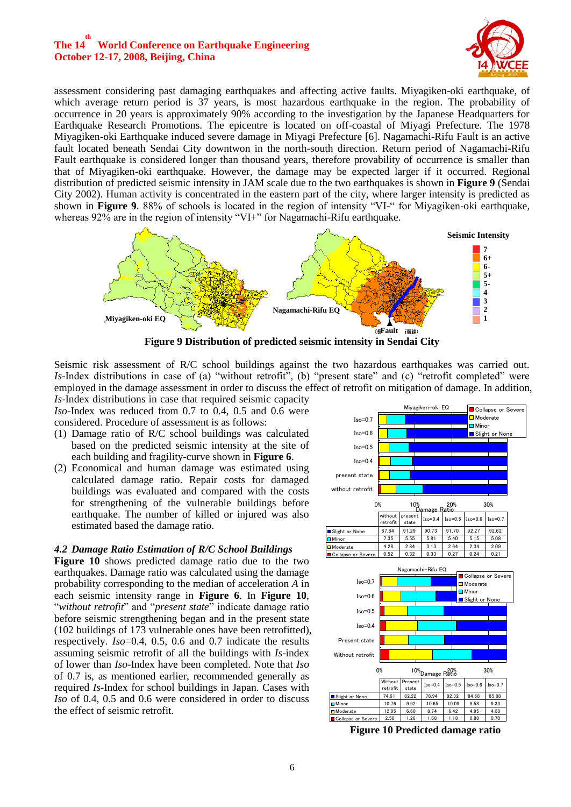

assessment considering past damaging earthquakes and affecting active faults. Miyagiken-oki earthquake, of which average return period is 37 years, is most hazardous earthquake in the region. The probability of occurrence in 20 years is approximately 90% according to the investigation by the Japanese Headquarters for Earthquake Research Promotions. The epicentre is located on off-coastal of Miyagi Prefecture. The 1978 Miyagiken-oki Earthquake induced severe damage in Miyagi Prefecture [6]. Nagamachi-Rifu Fault is an active fault located beneath Sendai City downtwon in the north-south direction. Return period of Nagamachi-Rifu Fault earthquake is considered longer than thousand years, therefore provability of occurrence is smaller than that of Miyagiken-oki earthquake. However, the damage may be expected larger if it occurred. Regional distribution of predicted seismic intensity in JAM scale due to the two earthquakes is shown in **Figure 9** (Sendai City 2002). Human activity is concentrated in the eastern part of the city, where larger intensity is predicted as shown in **Figure 9**. 88% of schools is located in the region of intensity "VI-" for Miyagiken-oki earthquake, whereas  $92\%$  are in the region of intensity "VI+" for Nagamachi-Rifu earthquake.



Seismic risk assessment of R/C school buildings against the two hazardous earthquakes was carried out. *Is*-Index distributions in case of (a) "without retrofit", (b) "present state" and (c) "retrofit completed" were employed in the damage assessment in order to discuss the effect of retrofit on mitigation of damage. In addition, *Is*-Index distributions in case that required seismic capacity

*Iso*-Index was reduced from 0.7 to 0.4, 0.5 and 0.6 were considered. Procedure of assessment is as follows:

- (1) Damage ratio of R/C school buildings was calculated based on the predicted seismic intensity at the site of each building and fragility-curve shown in **Figure 6**.
- (2) Economical and human damage was estimated using calculated damage ratio. Repair costs for damaged buildings was evaluated and compared with the costs for strengthening of the vulnerable buildings before earthquake. The number of killed or injured was also estimated based the damage ratio.

#### *4.2 Damage Ratio Estimation of R/C School Buildings*

**Figure 10** shows predicted damage ratio due to the two earthquakes. Damage ratio was calculated using the damage probability corresponding to the median of acceleration *A* in each seismic intensity range in **Figure 6**. In **Figure 10**, "*without retrofit*" and "*present state*" indicate damage ratio before seismic strengthening began and in the present state (102 buildings of 173 vulnerable ones have been retrofitted), respectively. *Iso*=0.4, 0.5, 0.6 and 0.7 indicate the results assuming seismic retrofit of all the buildings with *Is*-index of lower than *Iso*-Index have been completed. Note that *Iso* of 0.7 is, as mentioned earlier, recommended generally as required *Is*-Index for school buildings in Japan. Cases with *Iso* of 0.4, 0.5 and 0.6 were considered in order to discuss the effect of seismic retrofit.



**Figure 10 Predicted damage ratio**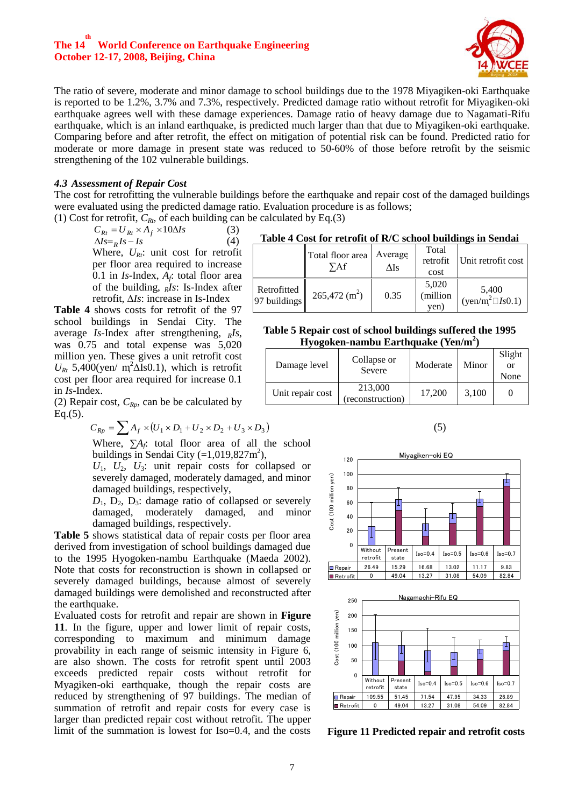

The ratio of severe, moderate and minor damage to school buildings due to the 1978 Miyagiken-oki Earthquake is reported to be 1.2%, 3.7% and 7.3%, respectively. Predicted damage ratio without retrofit for Miyagiken-oki earthquake agrees well with these damage experiences. Damage ratio of heavy damage due to Nagamati-Rifu earthquake, which is an inland earthquake, is predicted much larger than that due to Miyagiken-oki earthquake. Comparing before and after retrofit, the effect on mitigation of potential risk can be found. Predicted ratio for moderate or more damage in present state was reduced to 50-60% of those before retrofit by the seismic strengthening of the 102 vulnerable buildings.

#### *4.3 Assessment of Repair Cost*

The cost for retrofitting the vulnerable buildings before the earthquake and repair cost of the damaged buildings were evaluated using the predicted damage ratio. Evaluation procedure is as follows;

(1) Cost for retrofit,  $C_{Rt}$ , of each building can be calculated by Eq.(3)

 $C_{Rt} = U_{Rt} \times A_f \times 10 \Delta Is$ (3)  $\Delta Is = R \, Is - Is$  (4) Where,  $U_{Rt}$ : unit cost for retrofit per floor area required to increase 0.1 in  $Is$ -Index,  $A_f$ : total floor area of the building, *RIs*: Is-Index after retrofit, Δ*Is*: increase in Is-Index

**Table 4** shows costs for retrofit of the 97 school buildings in Sendai City. The average *Is*-Index after strengthening, <sub>*RIS*</sub>, was 0.75 and total expense was 5,020 million yen. These gives a unit retrofit cost  $U_{Rt}$  5,400(yen/ m<sup>2</sup> $\Delta$ Is0.1), which is retrofit cost per floor area required for increase 0.1 in *Is*-Index.

(2) Repair cost,  $C_{Rp}$ , can be be calculated by Eq.(5).

$$
C_{Rp} = \sum A_f \times (U_1 \times D_1 + U_2 \times D_2 + U_3 \times D_3)
$$

Where,  $\sum A_f$ : total floor area of all the school buildings in Sendai City  $(=1,019,827m^2)$ ,

 $U_1$ ,  $U_2$ ,  $U_3$ : unit repair costs for collapsed or severely damaged, moderately damaged, and minor damaged buildings, respectively,

 $D_1$ ,  $D_2$ ,  $D_3$ : damage ratio of collapsed or severely damaged, moderately damaged, and minor damaged buildings, respectively.

**Table 5** shows statistical data of repair costs per floor area derived from investigation of school buildings damaged due to the 1995 Hyogoken-nambu Earthquake (Maeda 2002). Note that costs for reconstruction is shown in collapsed or severely damaged buildings, because almost of severely damaged buildings were demolished and reconstructed after the earthquake.

Evaluated costs for retrofit and repair are shown in **Figure 11**. In the figure, upper and lower limit of repair costs, corresponding to maximum and minimum damage provability in each range of seismic intensity in Figure 6, are also shown. The costs for retrofit spent until 2003 exceeds predicted repair costs without retrofit for Myagiken-oki earthquake, though the repair costs are reduced by strengthening of 97 buildings. The median of summation of retrofit and repair costs for every case is larger than predicted repair cost without retrofit. The upper limit of the summation is lowest for Iso=0.4, and the costs **Figure 11 Predicted repair and retrofit costs**

**Table 4 Cost for retrofit of R/C school buildings in Sendai** 

|                             | Total floor area<br>УAf | Average<br>ΔIs | Total<br>retrofit<br>cost | Unit retrofit cost              |
|-----------------------------|-------------------------|----------------|---------------------------|---------------------------------|
| Retrofitted<br>97 buildings | $265,472 \text{ (m}^2)$ | 0.35           | 5,020<br>(million<br>yen) | 5,400<br>$(yen/m^2 \Box Is0.1)$ |

**Table 5 Repair cost of school buildings suffered the 1995 Hyogoken-nambu Earthquake (Yen/m<sup>2</sup> )**

| Damage level     | Collapse or<br>Severe       | Moderate | Minor | Slight<br>or<br>None |
|------------------|-----------------------------|----------|-------|----------------------|
| Unit repair cost | 213,000<br>(reconstruction) | 17,200   | 3,100 |                      |

(5)